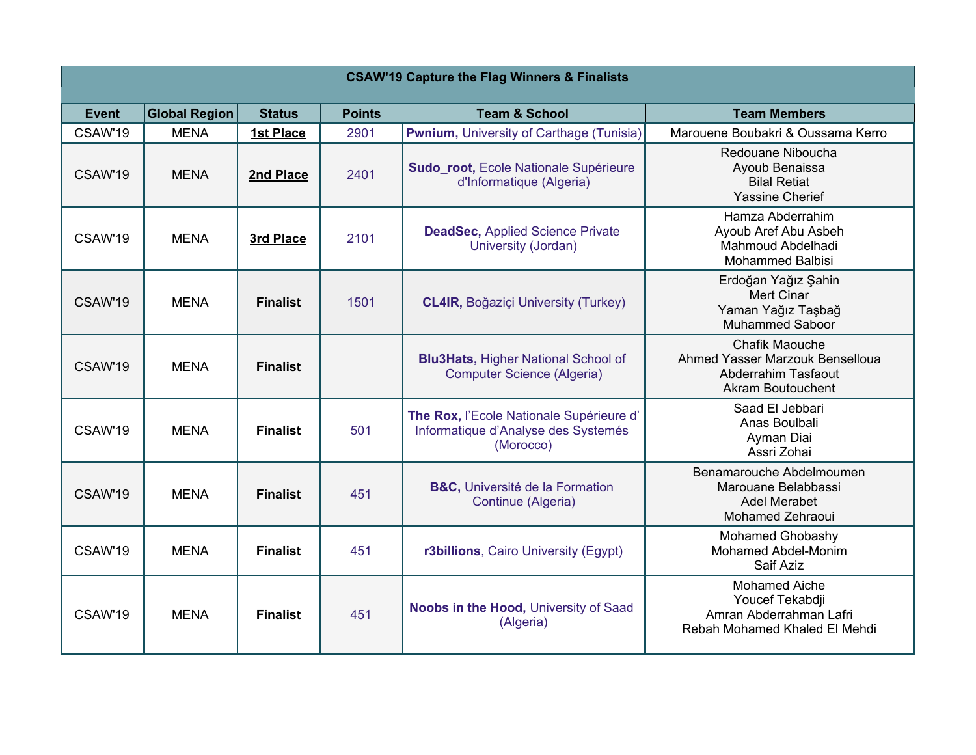| <b>CSAW'19 Capture the Flag Winners &amp; Finalists</b> |                      |                  |               |                                                                                              |                                                                                                             |  |  |  |
|---------------------------------------------------------|----------------------|------------------|---------------|----------------------------------------------------------------------------------------------|-------------------------------------------------------------------------------------------------------------|--|--|--|
| <b>Event</b>                                            | <b>Global Region</b> | <b>Status</b>    | <b>Points</b> | <b>Team &amp; School</b>                                                                     | <b>Team Members</b>                                                                                         |  |  |  |
| CSAW'19                                                 | <b>MENA</b>          | <b>1st Place</b> | 2901          | <b>Pwnium, University of Carthage (Tunisia)</b>                                              | Marouene Boubakri & Oussama Kerro                                                                           |  |  |  |
| CSAW'19                                                 | <b>MENA</b>          | 2nd Place        | 2401          | Sudo_root, Ecole Nationale Supérieure<br>d'Informatique (Algeria)                            | Redouane Niboucha<br>Ayoub Benaissa<br><b>Bilal Retiat</b><br><b>Yassine Cherief</b>                        |  |  |  |
| CSAW'19                                                 | <b>MENA</b>          | 3rd Place        | 2101          | <b>DeadSec, Applied Science Private</b><br>University (Jordan)                               | Hamza Abderrahim<br>Ayoub Aref Abu Asbeh<br>Mahmoud Abdelhadi<br><b>Mohammed Balbisi</b>                    |  |  |  |
| CSAW'19                                                 | <b>MENA</b>          | <b>Finalist</b>  | 1501          | <b>CL4IR, Boğaziçi University (Turkey)</b>                                                   | Erdoğan Yağız Şahin<br><b>Mert Cinar</b><br>Yaman Yağız Taşbağ<br><b>Muhammed Saboor</b>                    |  |  |  |
| CSAW'19                                                 | <b>MENA</b>          | <b>Finalist</b>  |               | <b>Blu3Hats, Higher National School of</b><br><b>Computer Science (Algeria)</b>              | <b>Chafik Maouche</b><br>Ahmed Yasser Marzouk Benselloua<br>Abderrahim Tasfaout<br><b>Akram Boutouchent</b> |  |  |  |
| CSAW'19                                                 | <b>MENA</b>          | <b>Finalist</b>  | 501           | The Rox, l'Ecole Nationale Supérieure d'<br>Informatique d'Analyse des Systemés<br>(Morocco) | Saad El Jebbari<br>Anas Boulbali<br>Ayman Diai<br>Assri Zohai                                               |  |  |  |
| CSAW'19                                                 | <b>MENA</b>          | <b>Finalist</b>  | 451           | <b>B&amp;C, Université de la Formation</b><br>Continue (Algeria)                             | Benamarouche Abdelmoumen<br>Marouane Belabbassi<br><b>Adel Merabet</b><br><b>Mohamed Zehraoui</b>           |  |  |  |
| CSAW'19                                                 | <b>MENA</b>          | <b>Finalist</b>  | 451           | r3billions, Cairo University (Egypt)                                                         | Mohamed Ghobashy<br><b>Mohamed Abdel-Monim</b><br>Saif Aziz                                                 |  |  |  |
| CSAW'19                                                 | <b>MENA</b>          | <b>Finalist</b>  | 451           | Noobs in the Hood, University of Saad<br>(Algeria)                                           | <b>Mohamed Aiche</b><br>Youcef Tekabdji<br>Amran Abderrahman Lafri<br>Rebah Mohamed Khaled El Mehdi         |  |  |  |